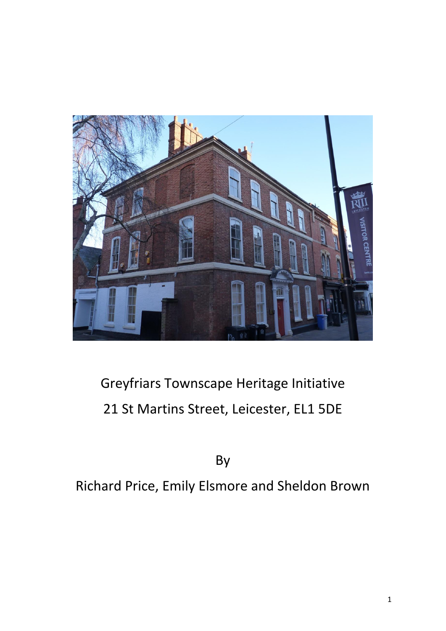

# Greyfriars Townscape Heritage Initiative 21 St Martins Street, Leicester, EL1 5DE

By

## Richard Price, Emily Elsmore and Sheldon Brown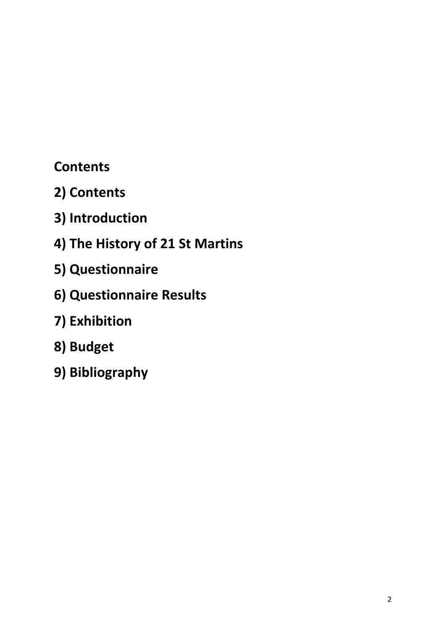### **Contents**

- **2) Contents**
- **3) Introduction**
- **4) The History of 21 St Martins**
- **5) Questionnaire**
- **6) Questionnaire Results**
- **7) Exhibition**
- **8) Budget**
- **9) Bibliography**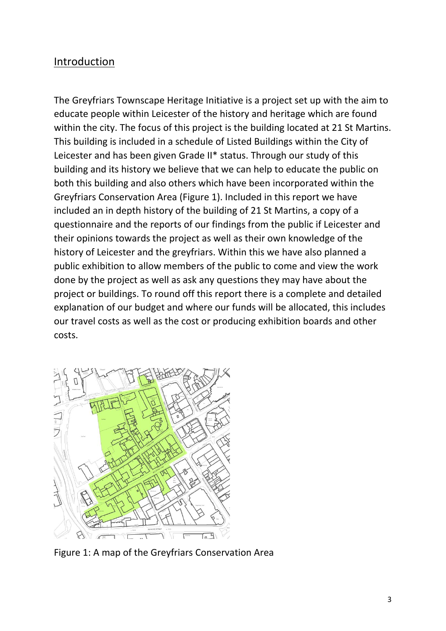#### Introduction

The Greyfriars Townscape Heritage Initiative is a project set up with the aim to educate people within Leicester of the history and heritage which are found within the city. The focus of this project is the building located at 21 St Martins. This building is included in a schedule of Listed Buildings within the City of Leicester and has been given Grade II\* status. Through our study of this building and its history we believe that we can help to educate the public on both this building and also others which have been incorporated within the Greyfriars Conservation Area (Figure 1). Included in this report we have included an in depth history of the building of 21 St Martins, a copy of a questionnaire and the reports of our findings from the public if Leicester and their opinions towards the project as well as their own knowledge of the history of Leicester and the greyfriars. Within this we have also planned a public exhibition to allow members of the public to come and view the work done by the project as well as ask any questions they may have about the project or buildings. To round off this report there is a complete and detailed explanation of our budget and where our funds will be allocated, this includes our travel costs as well as the cost or producing exhibition boards and other costs.



Figure 1: A map of the Greyfriars Conservation Area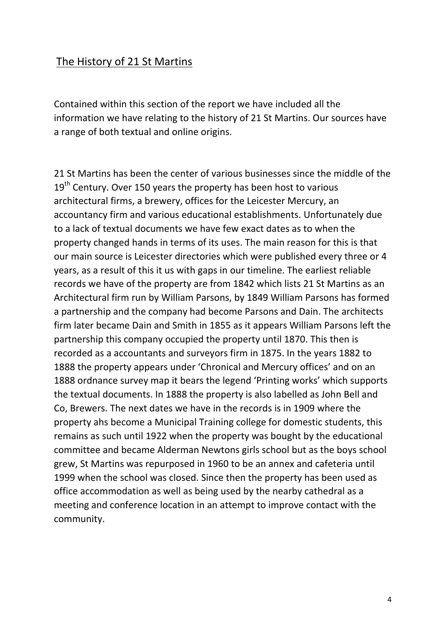#### The History of 21 St Martins

Contained within this section of the report we have included all the information we have relating to the history of 21 St Martins. Our sources have a range of both textual and online origins.

21 St Martins has been the center of various businesses since the middle of the 19<sup>th</sup> Century. Over 150 years the property has been host to various architectural firms, a brewery, offices for the Leicester Mercury, an accountancy firm and various educational establishments. Unfortunately due to a lack of textual documents we have few exact dates as to when the property changed hands in terms of its uses. The main reason for this is that our main source is Leicester directories which were published every three or 4 years, as a result of this it us with gaps in our timeline. The earliest reliable records we have of the property are from 1842 which lists 21 St Martins as an Architectural firm run by William Parsons, by 1849 William Parsons has formed a partnership and the company had become Parsons and Dain. The architects firm later became Dain and Smith in 1855 as it appears William Parsons left the partnership this company occupied the property until 1870. This then is recorded as a accountants and surveyors firm in 1875. In the years 1882 to 1888 the property appears under 'Chronical and Mercury offices' and on an 1888 ordnance survey map it bears the legend 'Printing works' which supports the textual documents. In 1888 the property is also labelled as John Bell and Co, Brewers. The next dates we have in the records is in 1909 where the property ahs become a Municipal Training college for domestic students, this remains as such until 1922 when the property was bought by the educational committee and became Alderman Newtons girls school but as the boys school grew, St Martins was repurposed in 1960 to be an annex and cafeteria until 1999 when the school was closed. Since then the property has been used as office accommodation as well as being used by the nearby cathedral as a meeting and conference location in an attempt to improve contact with the community.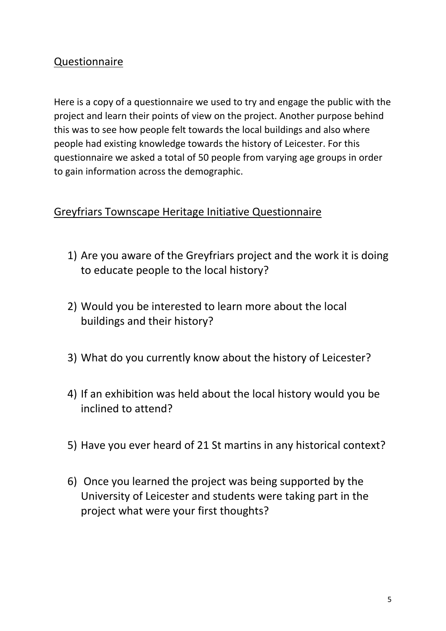### Questionnaire

Here is a copy of a questionnaire we used to try and engage the public with the project and learn their points of view on the project. Another purpose behind this was to see how people felt towards the local buildings and also where people had existing knowledge towards the history of Leicester. For this questionnaire we asked a total of 50 people from varying age groups in order to gain information across the demographic.

#### Greyfriars Townscape Heritage Initiative Questionnaire

- 1) Are you aware of the Greyfriars project and the work it is doing to educate people to the local history?
- 2) Would you be interested to learn more about the local buildings and their history?
- 3) What do you currently know about the history of Leicester?
- 4) If an exhibition was held about the local history would you be inclined to attend?
- 5) Have you ever heard of 21 St martins in any historical context?
- 6) Once you learned the project was being supported by the University of Leicester and students were taking part in the project what were your first thoughts?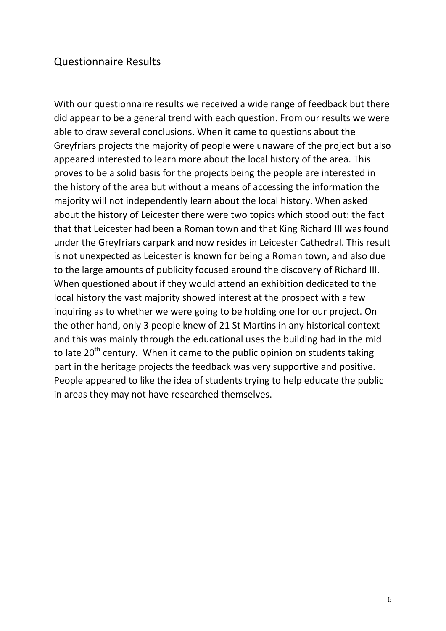#### Questionnaire Results

With our questionnaire results we received a wide range of feedback but there did appear to be a general trend with each question. From our results we were able to draw several conclusions. When it came to questions about the Greyfriars projects the majority of people were unaware of the project but also appeared interested to learn more about the local history of the area. This proves to be a solid basis for the projects being the people are interested in the history of the area but without a means of accessing the information the majority will not independently learn about the local history. When asked about the history of Leicester there were two topics which stood out: the fact that that Leicester had been a Roman town and that King Richard III was found under the Greyfriars carpark and now resides in Leicester Cathedral. This result is not unexpected as Leicester is known for being a Roman town, and also due to the large amounts of publicity focused around the discovery of Richard III. When questioned about if they would attend an exhibition dedicated to the local history the vast majority showed interest at the prospect with a few inquiring as to whether we were going to be holding one for our project. On the other hand, only 3 people knew of 21 St Martins in any historical context and this was mainly through the educational uses the building had in the mid to late 20<sup>th</sup> century. When it came to the public opinion on students taking part in the heritage projects the feedback was very supportive and positive. People appeared to like the idea of students trying to help educate the public in areas they may not have researched themselves.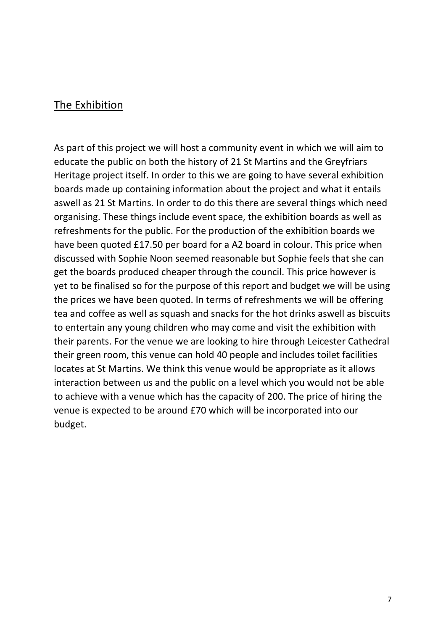#### The Exhibition

As part of this project we will host a community event in which we will aim to educate the public on both the history of 21 St Martins and the Greyfriars Heritage project itself. In order to this we are going to have several exhibition boards made up containing information about the project and what it entails aswell as 21 St Martins. In order to do this there are several things which need organising. These things include event space, the exhibition boards as well as refreshments for the public. For the production of the exhibition boards we have been quoted £17.50 per board for a A2 board in colour. This price when discussed with Sophie Noon seemed reasonable but Sophie feels that she can get the boards produced cheaper through the council. This price however is yet to be finalised so for the purpose of this report and budget we will be using the prices we have been quoted. In terms of refreshments we will be offering tea and coffee as well as squash and snacks for the hot drinks aswell as biscuits to entertain any young children who may come and visit the exhibition with their parents. For the venue we are looking to hire through Leicester Cathedral their green room, this venue can hold 40 people and includes toilet facilities locates at St Martins. We think this venue would be appropriate as it allows interaction between us and the public on a level which you would not be able to achieve with a venue which has the capacity of 200. The price of hiring the venue is expected to be around £70 which will be incorporated into our budget.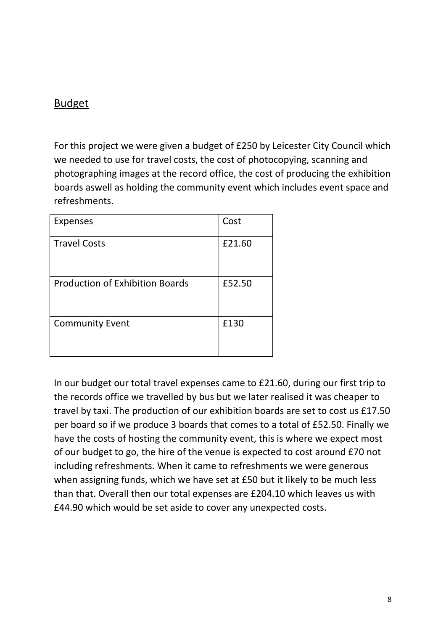#### Budget

For this project we were given a budget of £250 by Leicester City Council which we needed to use for travel costs, the cost of photocopying, scanning and photographing images at the record office, the cost of producing the exhibition boards aswell as holding the community event which includes event space and refreshments.

| <b>Expenses</b>                        | Cost   |
|----------------------------------------|--------|
| <b>Travel Costs</b>                    | £21.60 |
| <b>Production of Exhibition Boards</b> | £52.50 |
| <b>Community Event</b>                 | £130   |

In our budget our total travel expenses came to £21.60, during our first trip to the records office we travelled by bus but we later realised it was cheaper to travel by taxi. The production of our exhibition boards are set to cost us £17.50 per board so if we produce 3 boards that comes to a total of £52.50. Finally we have the costs of hosting the community event, this is where we expect most of our budget to go, the hire of the venue is expected to cost around £70 not including refreshments. When it came to refreshments we were generous when assigning funds, which we have set at £50 but it likely to be much less than that. Overall then our total expenses are £204.10 which leaves us with £44.90 which would be set aside to cover any unexpected costs.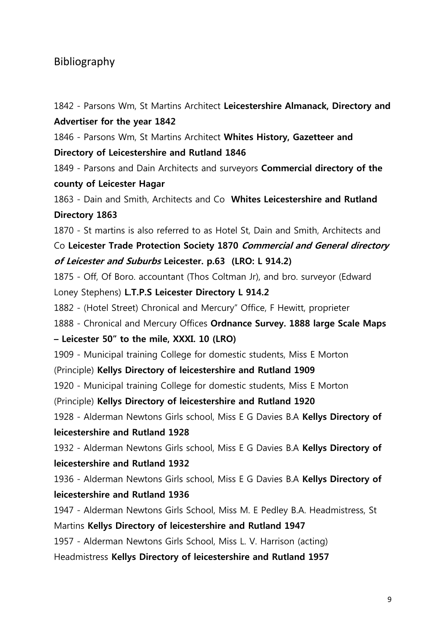#### Bibliography

**Advertiser for the year 1842** 1846 - Parsons Wm, St Martins Architect **Whites History, Gazetteer and Directory of Leicestershire and Rutland 1846** 1849 - Parsons and Dain Architects and surveyors **Commercial directory of the county of Leicester Hagar** 1863 - Dain and Smith, Architects and Co **Whites Leicestershire and Rutland Directory 1863** 1870 - St martins is also referred to as Hotel St, Dain and Smith, Architects and Co **Leicester Trade Protection Society 1870 Commercial and General directory of Leicester and Suburbs Leicester. p.63 (LRO: L 914.2)** 1875 - Off, Of Boro. accountant (Thos Coltman Jr), and bro. surveyor (Edward Loney Stephens) **L.T.P.S Leicester Directory L 914.2** 1882 - (Hotel Street) Chronical and Mercury" Office, F Hewitt, proprieter 1888 - Chronical and Mercury Offices **Ordnance Survey. 1888 large Scale Maps – Leicester 50" to the mile, XXXI. 10 (LRO)** 1909 - Municipal training College for domestic students, Miss E Morton (Principle) **Kellys Directory of leicestershire and Rutland 1909** 1920 - Municipal training College for domestic students, Miss E Morton (Principle) **Kellys Directory of leicestershire and Rutland 1920** 1928 - Alderman Newtons Girls school, Miss E G Davies B.A **Kellys Directory of leicestershire and Rutland 1928** 1932 - Alderman Newtons Girls school, Miss E G Davies B.A **Kellys Directory of leicestershire and Rutland 1932** 1936 - Alderman Newtons Girls school, Miss E G Davies B.A **Kellys Directory of leicestershire and Rutland 1936** 1947 - Alderman Newtons Girls School, Miss M. E Pedley B.A. Headmistress, St Martins **Kellys Directory of leicestershire and Rutland 1947** 1957 - Alderman Newtons Girls School, Miss L. V. Harrison (acting) Headmistress **Kellys Directory of leicestershire and Rutland 1957**

1842 - Parsons Wm, St Martins Architect **Leicestershire Almanack, Directory and**